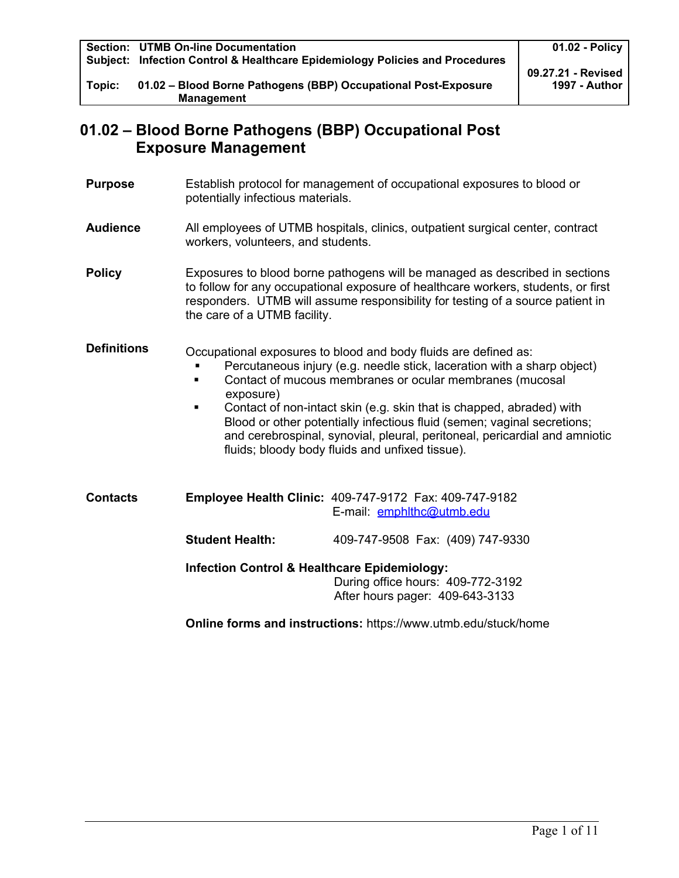|        | <b>Section: UTMB On-line Documentation</b>                                   | 01.02 - Policy     |
|--------|------------------------------------------------------------------------------|--------------------|
|        | Subject: Infection Control & Healthcare Epidemiology Policies and Procedures |                    |
|        |                                                                              | 09.27.21 - Revised |
| Topic: | 01.02 - Blood Borne Pathogens (BBP) Occupational Post-Exposure               | 1997 - Author      |
|        | <b>Management</b>                                                            |                    |

# **01.02 – Blood Borne Pathogens (BBP) Occupational Post Exposure Management**

- **Purpose** Establish protocol for management of occupational exposures to blood or potentially infectious materials.
- **Audience** All employees of UTMB hospitals, clinics, outpatient surgical center, contract workers, volunteers, and students.

**Policy** Exposures to blood borne pathogens will be managed as described in sections to follow for any occupational exposure of healthcare workers, students, or first responders.UTMB will assume responsibility for testing of a source patient in the care of a UTMB facility.

**Definitions** Occupational exposures to blood and body fluids are defined as:

- Percutaneous injury (e.g. needle stick, laceration with a sharp object)
- **Contact of mucous membranes or ocular membranes (mucosal** exposure)
- Contact of non-intact skin (e.g. skin that is chapped, abraded) with Blood or other potentially infectious fluid (semen; vaginal secretions; and cerebrospinal, synovial, pleural, peritoneal, pericardial and amniotic fluids; bloody body fluids and unfixed tissue).

| <b>Contacts</b> |                                                         | <b>Employee Health Clinic: 409-747-9172 Fax: 409-747-9182</b><br>E-mail: emphlthc@utmb.edu |
|-----------------|---------------------------------------------------------|--------------------------------------------------------------------------------------------|
|                 | <b>Student Health:</b>                                  | 409-747-9508 Fax: (409) 747-9330                                                           |
|                 | <b>Infection Control &amp; Healthcare Epidemiology:</b> | During office hours: 409-772-3192<br>After hours pager: 409-643-3133                       |
|                 |                                                         |                                                                                            |

**Online forms and instructions:** https://www.utmb.edu/stuck/home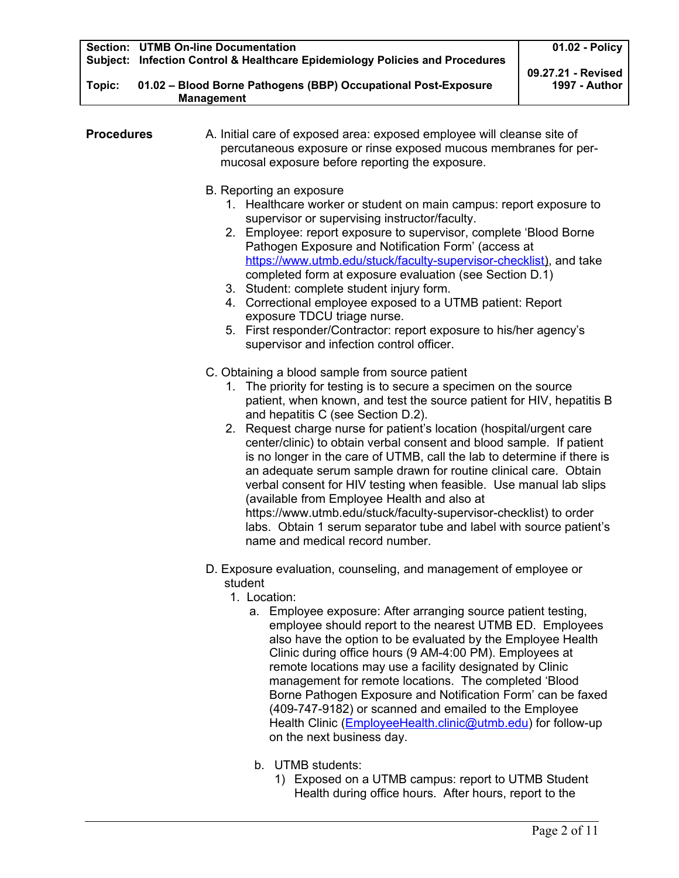|        | Section: UTMB On-line Documentation                                          | 01.02 - Policy     |
|--------|------------------------------------------------------------------------------|--------------------|
|        | Subject: Infection Control & Healthcare Epidemiology Policies and Procedures | 09.27.21 - Revised |
| Topic: | 01.02 - Blood Borne Pathogens (BBP) Occupational Post-Exposure               | 1997 - Author      |
|        | <b>Management</b>                                                            |                    |
|        |                                                                              |                    |

| <b>Procedures</b> | A. Initial care of exposed area: exposed employee will cleanse site of<br>percutaneous exposure or rinse exposed mucous membranes for per-<br>mucosal exposure before reporting the exposure.                                                                                                                                                                                                                                                                                                                                                                                                                                                                             |  |  |  |
|-------------------|---------------------------------------------------------------------------------------------------------------------------------------------------------------------------------------------------------------------------------------------------------------------------------------------------------------------------------------------------------------------------------------------------------------------------------------------------------------------------------------------------------------------------------------------------------------------------------------------------------------------------------------------------------------------------|--|--|--|
|                   | B. Reporting an exposure<br>1. Healthcare worker or student on main campus: report exposure to<br>supervisor or supervising instructor/faculty.<br>2. Employee: report exposure to supervisor, complete 'Blood Borne<br>Pathogen Exposure and Notification Form' (access at<br>https://www.utmb.edu/stuck/faculty-supervisor-checklist), and take<br>completed form at exposure evaluation (see Section D.1)<br>3. Student: complete student injury form.<br>4. Correctional employee exposed to a UTMB patient: Report<br>exposure TDCU triage nurse.<br>5. First responder/Contractor: report exposure to his/her agency's<br>supervisor and infection control officer. |  |  |  |
|                   | C. Obtaining a blood sample from source patient                                                                                                                                                                                                                                                                                                                                                                                                                                                                                                                                                                                                                           |  |  |  |
|                   | 1. The priority for testing is to secure a specimen on the source<br>patient, when known, and test the source patient for HIV, hepatitis B<br>and hepatitis C (see Section D.2).                                                                                                                                                                                                                                                                                                                                                                                                                                                                                          |  |  |  |
|                   | 2. Request charge nurse for patient's location (hospital/urgent care<br>center/clinic) to obtain verbal consent and blood sample. If patient<br>is no longer in the care of UTMB, call the lab to determine if there is<br>an adequate serum sample drawn for routine clinical care. Obtain<br>verbal consent for HIV testing when feasible. Use manual lab slips<br>(available from Employee Health and also at<br>https://www.utmb.edu/stuck/faculty-supervisor-checklist) to order<br>labs. Obtain 1 serum separator tube and label with source patient's<br>name and medical record number.                                                                           |  |  |  |
|                   | D. Exposure evaluation, counseling, and management of employee or                                                                                                                                                                                                                                                                                                                                                                                                                                                                                                                                                                                                         |  |  |  |

- student
- 1. Location:
	- a. Employee exposure: After arranging source patient testing, employee should report to the nearest UTMB ED. Employees also have the option to be evaluated by the Employee Health Clinic during office hours (9 AM-4:00 PM). Employees at remote locations may use a facility designated by Clinic management for remote locations. The completed 'Blood Borne Pathogen Exposure and Notification Form' can be faxed (409-747-9182) or scanned and emailed to the Employee Health Clinic [\(EmployeeHealth.clinic@utmb.edu\)](mailto:EmployeeHealth.clinic@utmb.edu) for follow-up on the next business day.
	- b. UTMB students:
		- 1) Exposed on a UTMB campus: report to UTMB Student Health during office hours. After hours, report to the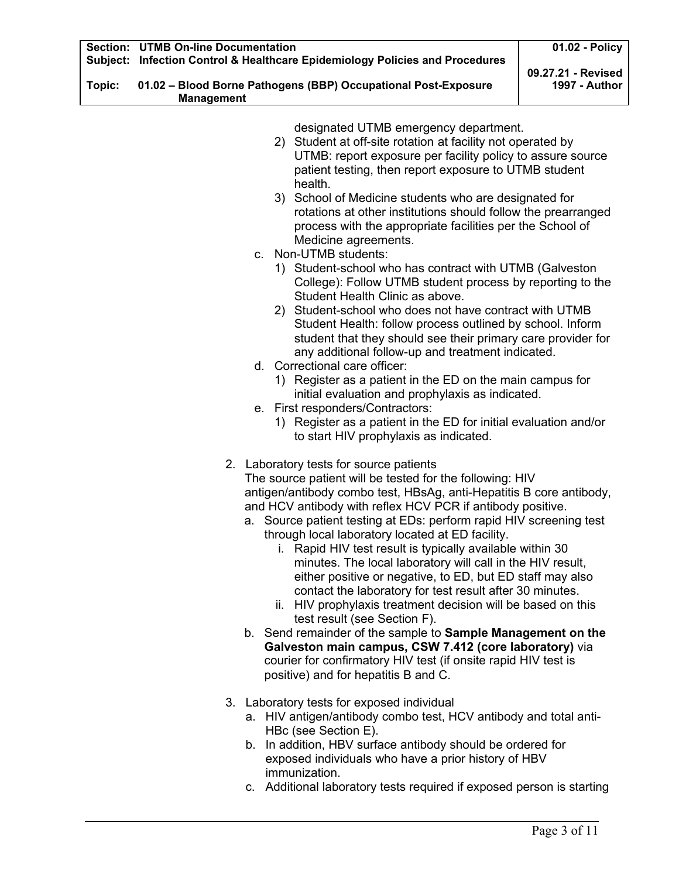|        | <b>Section: UTMB On-line Documentation</b><br>Subject: Infection Control & Healthcare Epidemiology Policies and Procedures                                                                                                                                                                                                                                                                                                                                                                                                                                                                                                                                                                                                                                                                                                                                                                                                                                                                                                                                                                                                                                                                | 01.02 - Policy                             |
|--------|-------------------------------------------------------------------------------------------------------------------------------------------------------------------------------------------------------------------------------------------------------------------------------------------------------------------------------------------------------------------------------------------------------------------------------------------------------------------------------------------------------------------------------------------------------------------------------------------------------------------------------------------------------------------------------------------------------------------------------------------------------------------------------------------------------------------------------------------------------------------------------------------------------------------------------------------------------------------------------------------------------------------------------------------------------------------------------------------------------------------------------------------------------------------------------------------|--------------------------------------------|
| Topic: | 01.02 - Blood Borne Pathogens (BBP) Occupational Post-Exposure<br><b>Management</b>                                                                                                                                                                                                                                                                                                                                                                                                                                                                                                                                                                                                                                                                                                                                                                                                                                                                                                                                                                                                                                                                                                       | 09.27.21 - Revised<br><b>1997 - Author</b> |
|        | designated UTMB emergency department.<br>2) Student at off-site rotation at facility not operated by<br>UTMB: report exposure per facility policy to assure source<br>patient testing, then report exposure to UTMB student<br>health.<br>3) School of Medicine students who are designated for<br>rotations at other institutions should follow the prearranged<br>process with the appropriate facilities per the School of<br>Medicine agreements.<br>c. Non-UTMB students:<br>1) Student-school who has contract with UTMB (Galveston<br>College): Follow UTMB student process by reporting to the<br>Student Health Clinic as above.<br>2) Student-school who does not have contract with UTMB<br>Student Health: follow process outlined by school. Inform<br>student that they should see their primary care provider for<br>any additional follow-up and treatment indicated.<br>d. Correctional care officer:<br>1) Register as a patient in the ED on the main campus for<br>initial evaluation and prophylaxis as indicated.<br>e. First responders/Contractors:<br>1) Register as a patient in the ED for initial evaluation and/or<br>to start HIV prophylaxis as indicated. |                                            |
|        | 2. Laboratory tests for source patients<br>The source patient will be tested for the following: HIV<br>antigen/antibody combo test, HBsAg, anti-Hepatitis B core antibody,<br>and HCV antibody with reflex HCV PCR if antibody positive.<br>a. Source patient testing at EDs: perform rapid HIV screening test<br>through local laboratory located at ED facility.<br>i. Rapid HIV test result is typically available within 30<br>minutes. The local laboratory will call in the HIV result,<br>either positive or negative, to ED, but ED staff may also<br>contact the laboratory for test result after 30 minutes.<br>ii. HIV prophylaxis treatment decision will be based on this<br>test result (see Section F).<br>b. Send remainder of the sample to Sample Management on the<br>Galveston main campus, CSW 7.412 (core laboratory) via<br>courier for confirmatory HIV test (if onsite rapid HIV test is<br>positive) and for hepatitis B and C.                                                                                                                                                                                                                                 |                                            |
|        | 3. Laboratory tests for exposed individual<br>a. HIV antigen/antibody combo test, HCV antibody and total anti-<br>HBc (see Section E).<br>b. In addition, HBV surface antibody should be ordered for<br>exposed individuals who have a prior history of HBV<br>immunization.<br>c. Additional laboratory tests required if exposed person is starting                                                                                                                                                                                                                                                                                                                                                                                                                                                                                                                                                                                                                                                                                                                                                                                                                                     |                                            |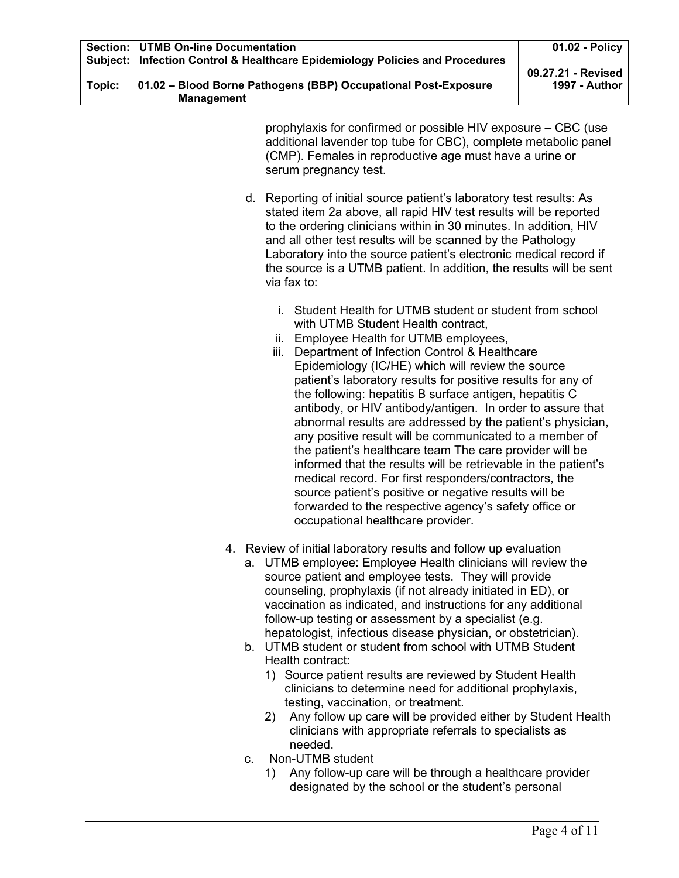| Topic: | 01.02 - Blood Borne Pathogens (BBP) Occupational Post-Exposure |  |
|--------|----------------------------------------------------------------|--|
|        | <b>Management</b>                                              |  |

prophylaxis for confirmed or possible HIV exposure – CBC (use additional lavender top tube for CBC), complete metabolic panel (CMP). Females in reproductive age must have a urine or serum pregnancy test.

- d. Reporting of initial source patient's laboratory test results: As stated item 2a above, all rapid HIV test results will be reported to the ordering clinicians within in 30 minutes. In addition, HIV and all other test results will be scanned by the Pathology Laboratory into the source patient's electronic medical record if the source is a UTMB patient. In addition, the results will be sent via fax to:
	- i. Student Health for UTMB student or student from school with UTMB Student Health contract,
	- ii. Employee Health for UTMB employees,
	- iii. Department of Infection Control & Healthcare Epidemiology (IC/HE) which will review the source patient's laboratory results for positive results for any of the following: hepatitis B surface antigen, hepatitis C antibody, or HIV antibody/antigen. In order to assure that abnormal results are addressed by the patient's physician, any positive result will be communicated to a member of the patient's healthcare team The care provider will be informed that the results will be retrievable in the patient's medical record. For first responders/contractors, the source patient's positive or negative results will be forwarded to the respective agency's safety office or occupational healthcare provider.
- 4. Review of initial laboratory results and follow up evaluation
	- a. UTMB employee: Employee Health clinicians will review the source patient and employee tests. They will provide counseling, prophylaxis (if not already initiated in ED), or vaccination as indicated, and instructions for any additional follow-up testing or assessment by a specialist (e.g. hepatologist, infectious disease physician, or obstetrician).
	- b. UTMB student or student from school with UTMB Student Health contract:
		- 1) Source patient results are reviewed by Student Health clinicians to determine need for additional prophylaxis, testing, vaccination, or treatment.
		- 2) Any follow up care will be provided either by Student Health clinicians with appropriate referrals to specialists as needed.
	- c. Non-UTMB student
		- 1) Any follow-up care will be through a healthcare provider designated by the school or the student's personal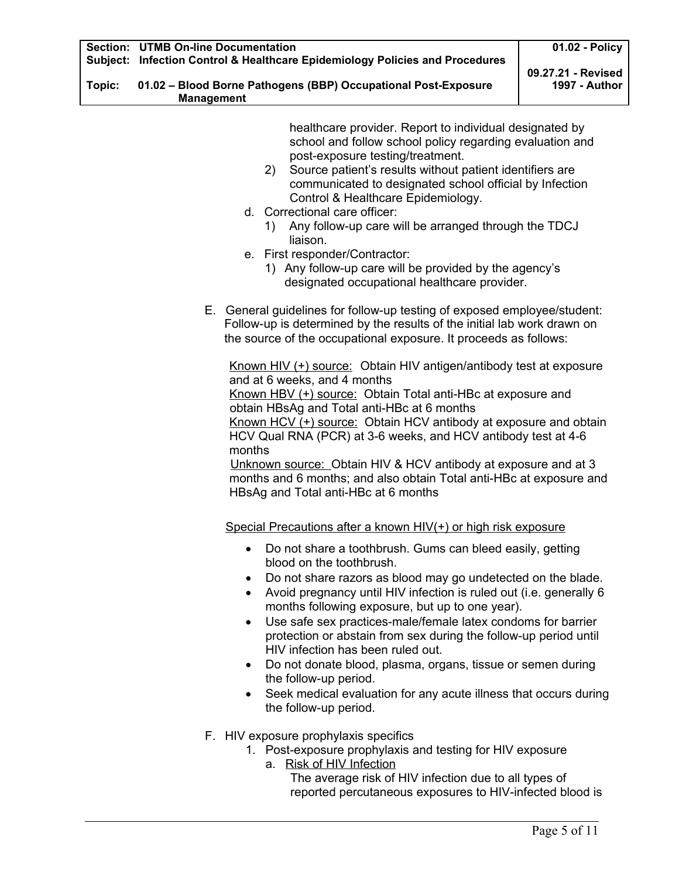healthcare provider. Report to individual designated by school and follow school policy regarding evaluation and post-exposure testing/treatment.

- 2) Source patient's results without patient identifiers are communicated to designated school official by Infection Control & Healthcare Epidemiology.
- d. Correctional care officer:
	- 1) Any follow-up care will be arranged through the TDCJ liaison.
- e. First responder/Contractor:
	- 1) Any follow-up care will be provided by the agency's designated occupational healthcare provider.
- E. General guidelines for follow-up testing of exposed employee/student: Follow-up is determined by the results of the initial lab work drawn on the source of the occupational exposure. It proceeds as follows:

Known HIV (+) source: Obtain HIV antigen/antibody test at exposure and at 6 weeks, and 4 months

Known HBV (+) source: Obtain Total anti-HBc at exposure and obtain HBsAg and Total anti-HBc at 6 months

Known HCV (+) source: Obtain HCV antibody at exposure and obtain HCV Qual RNA (PCR) at 3-6 weeks, and HCV antibody test at 4-6 months

Unknown source: Obtain HIV & HCV antibody at exposure and at 3 months and 6 months; and also obtain Total anti-HBc at exposure and HBsAg and Total anti-HBc at 6 months

Special Precautions after a known HIV(+) or high risk exposure

- Do not share a toothbrush. Gums can bleed easily, getting blood on the toothbrush.
- Do not share razors as blood may go undetected on the blade.
- Avoid pregnancy until HIV infection is ruled out (i.e. generally 6 months following exposure, but up to one year).
- Use safe sex practices-male/female latex condoms for barrier protection or abstain from sex during the follow-up period until HIV infection has been ruled out.
- Do not donate blood, plasma, organs, tissue or semen during the follow-up period.
- Seek medical evaluation for any acute illness that occurs during the follow-up period.
- F. HIV exposure prophylaxis specifics
	- 1. Post-exposure prophylaxis and testing for HIV exposure
		- a. Risk of HIV Infection The average risk of HIV infection due to all types of reported percutaneous exposures to HIV-infected blood is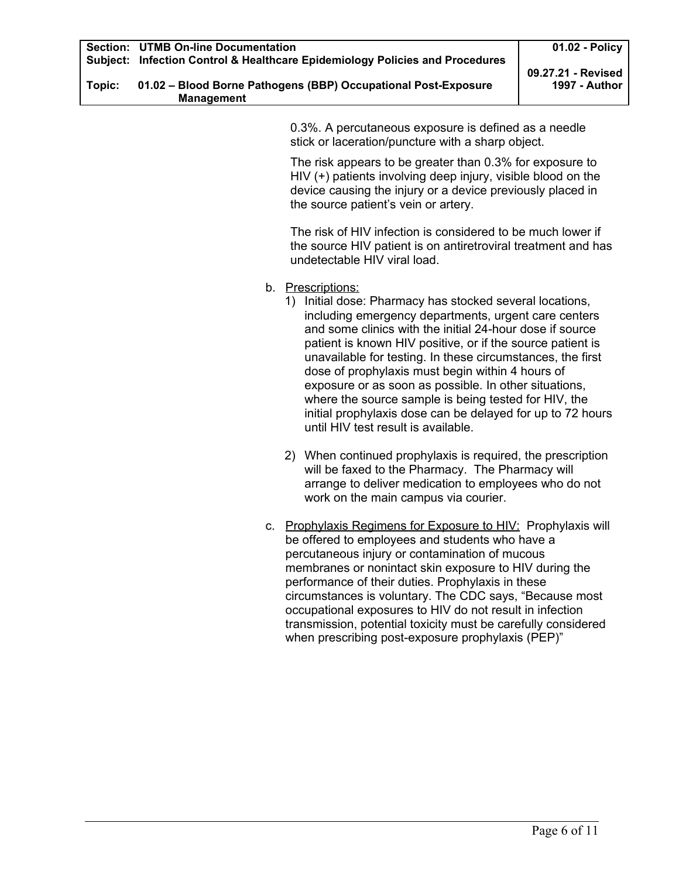| Topic: | 01.02 - Blood Borne Pathogens (BBP) Occupational Post-Exposure |  |
|--------|----------------------------------------------------------------|--|
|        | <b>Management</b>                                              |  |

0.3%. A percutaneous exposure is defined as a needle stick or laceration/puncture with a sharp object.

The risk appears to be greater than 0.3% for exposure to HIV (+) patients involving deep injury, visible blood on the device causing the injury or a device previously placed in the source patient's vein or artery.

The risk of HIV infection is considered to be much lower if the source HIV patient is on antiretroviral treatment and has undetectable HIV viral load.

- b. Prescriptions:
	- 1) Initial dose: Pharmacy has stocked several locations, including emergency departments, urgent care centers and some clinics with the initial 24-hour dose if source patient is known HIV positive, or if the source patient is unavailable for testing. In these circumstances, the first dose of prophylaxis must begin within 4 hours of exposure or as soon as possible. In other situations, where the source sample is being tested for HIV, the initial prophylaxis dose can be delayed for up to 72 hours until HIV test result is available.
	- 2) When continued prophylaxis is required, the prescription will be faxed to the Pharmacy. The Pharmacy will arrange to deliver medication to employees who do not work on the main campus via courier.
- c. Prophylaxis Regimens for Exposure to HIV: Prophylaxis will be offered to employees and students who have a percutaneous injury or contamination of mucous membranes or nonintact skin exposure to HIV during the performance of their duties. Prophylaxis in these circumstances is voluntary. The CDC says, "Because most occupational exposures to HIV do not result in infection transmission, potential toxicity must be carefully considered when prescribing post-exposure prophylaxis (PEP)"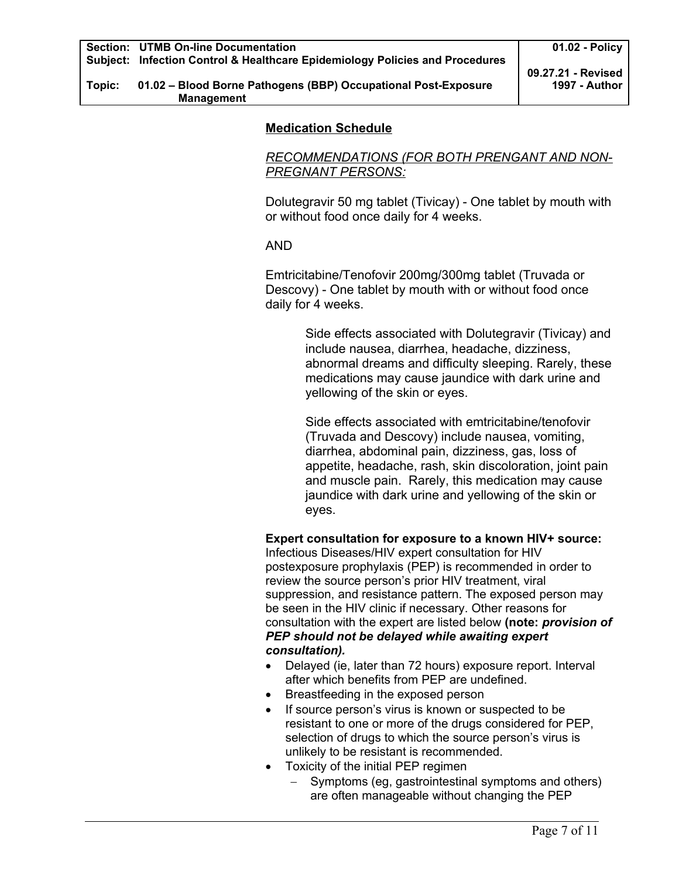## **Medication Schedule**

*RECOMMENDATIONS (FOR BOTH PRENGANT AND NON-PREGNANT PERSONS:*

Dolutegravir 50 mg tablet (Tivicay) - One tablet by mouth with or without food once daily for 4 weeks.

### AND

Emtricitabine/Tenofovir 200mg/300mg tablet (Truvada or Descovy) - One tablet by mouth with or without food once daily for 4 weeks.

> Side effects associated with Dolutegravir (Tivicay) and include nausea, diarrhea, headache, dizziness, abnormal dreams and difficulty sleeping. Rarely, these medications may cause jaundice with dark urine and yellowing of the skin or eyes.

Side effects associated with emtricitabine/tenofovir (Truvada and Descovy) include nausea, vomiting, diarrhea, abdominal pain, dizziness, gas, loss of appetite, headache, rash, skin discoloration, joint pain and muscle pain. Rarely, this medication may cause jaundice with dark urine and yellowing of the skin or eyes.

**Expert consultation for exposure to a known HIV+ source:** 

Infectious Diseases/HIV expert consultation for HIV postexposure prophylaxis (PEP) is recommended in order to review the source person's prior HIV treatment, viral suppression, and resistance pattern. The exposed person may be seen in the HIV clinic if necessary. Other reasons for consultation with the expert are listed below **(note:** *provision of PEP should not be delayed while awaiting expert consultation).*

- Delayed (ie, later than 72 hours) exposure report. Interval after which benefits from PEP are undefined.
- Breastfeeding in the exposed person
- If source person's virus is known or suspected to be resistant to one or more of the drugs considered for PEP, selection of drugs to which the source person's virus is unlikely to be resistant is recommended.
- Toxicity of the initial PEP regimen
	- Symptoms (eg, gastrointestinal symptoms and others) are often manageable without changing the PEP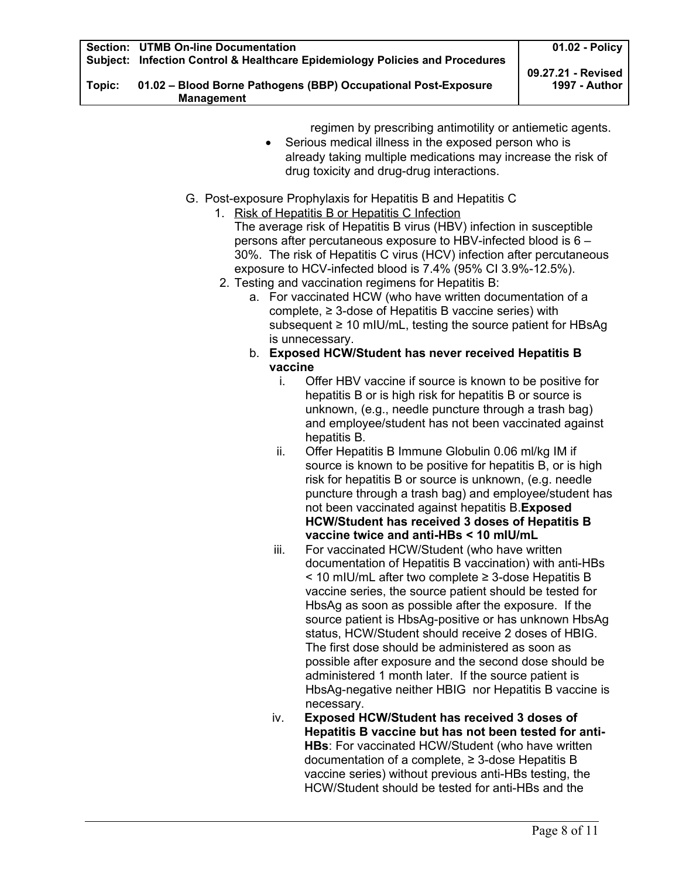| Topic: | 01.02 - Blood Borne Pathogens (BBP) Occupational Post-Exposure |  |
|--------|----------------------------------------------------------------|--|
|        | <b>Management</b>                                              |  |

regimen by prescribing antimotility or antiemetic agents.

- Serious medical illness in the exposed person who is already taking multiple medications may increase the risk of drug toxicity and drug-drug interactions.
- G. Post-exposure Prophylaxis for Hepatitis B and Hepatitis C
	- 1. Risk of Hepatitis B or Hepatitis C Infection The average risk of Hepatitis B virus (HBV) infection in susceptible persons after percutaneous exposure to HBV-infected blood is 6 – 30%. The risk of Hepatitis C virus (HCV) infection after percutaneous exposure to HCV-infected blood is 7.4% (95% CI 3.9%-12.5%).
	- 2. Testing and vaccination regimens for Hepatitis B:
		- a. For vaccinated HCW (who have written documentation of a complete,  $\geq$  3-dose of Hepatitis B vaccine series) with subsequent ≥ 10 mIU/mL, testing the source patient for HBsAg is unnecessary.
		- b. **Exposed HCW/Student has never received Hepatitis B vaccine**
			- i. Offer HBV vaccine if source is known to be positive for hepatitis B or is high risk for hepatitis B or source is unknown, (e.g., needle puncture through a trash bag) and employee/student has not been vaccinated against hepatitis B.
			- ii. Offer Hepatitis B Immune Globulin 0.06 ml/kg IM if source is known to be positive for hepatitis B, or is high risk for hepatitis B or source is unknown, (e.g. needle puncture through a trash bag) and employee/student has not been vaccinated against hepatitis B.**Exposed HCW/Student has received 3 doses of Hepatitis B vaccine twice and anti-HBs < 10 mIU/mL**
			- iii. For vaccinated HCW/Student (who have written documentation of Hepatitis B vaccination) with anti-HBs < 10 mIU/mL after two complete ≥ 3-dose Hepatitis B vaccine series, the source patient should be tested for HbsAg as soon as possible after the exposure. If the source patient is HbsAg-positive or has unknown HbsAg status, HCW/Student should receive 2 doses of HBIG. The first dose should be administered as soon as possible after exposure and the second dose should be administered 1 month later. If the source patient is HbsAg-negative neither HBIG nor Hepatitis B vaccine is necessary.
			- iv. **Exposed HCW/Student has received 3 doses of Hepatitis B vaccine but has not been tested for anti-HBs**: For vaccinated HCW/Student (who have written documentation of a complete, ≥ 3-dose Hepatitis B vaccine series) without previous anti-HBs testing, the HCW/Student should be tested for anti-HBs and the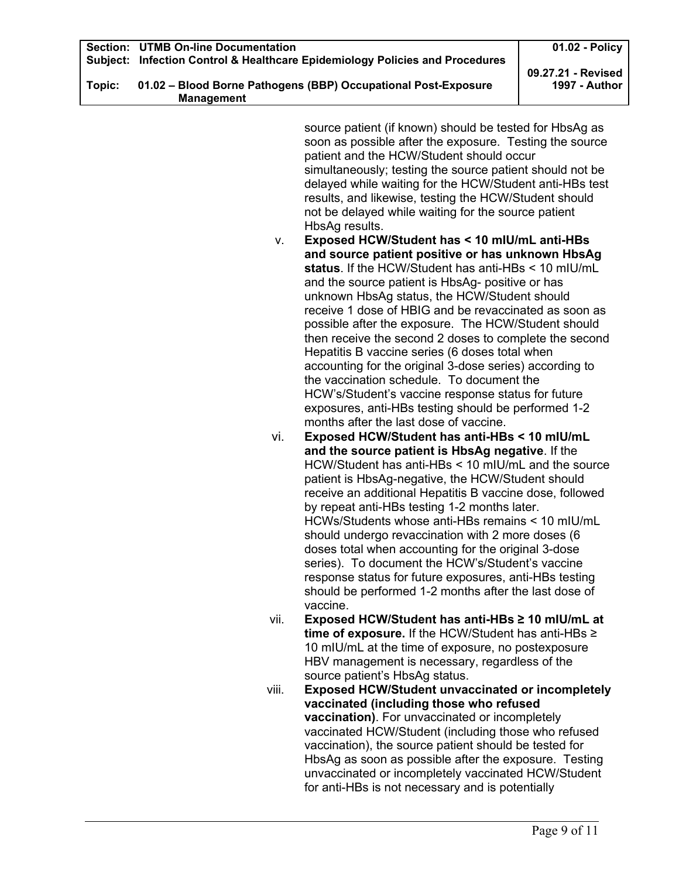| Subject: | <b>Section: UTMB On-line Documentation</b><br>Infection Control & Healthcare Epidemiology Policies and Procedures |                                                                                                           | 01.02 - Policy                      |
|----------|-------------------------------------------------------------------------------------------------------------------|-----------------------------------------------------------------------------------------------------------|-------------------------------------|
| Topic:   |                                                                                                                   | 01.02 - Blood Borne Pathogens (BBP) Occupational Post-Exposure                                            | 09.27.21 - Revised<br>1997 - Author |
|          | <b>Management</b>                                                                                                 |                                                                                                           |                                     |
|          |                                                                                                                   |                                                                                                           |                                     |
|          |                                                                                                                   | source patient (if known) should be tested for HbsAg as                                                   |                                     |
|          |                                                                                                                   | soon as possible after the exposure. Testing the source                                                   |                                     |
|          |                                                                                                                   | patient and the HCW/Student should occur                                                                  |                                     |
|          |                                                                                                                   | simultaneously; testing the source patient should not be                                                  |                                     |
|          |                                                                                                                   | delayed while waiting for the HCW/Student anti-HBs test                                                   |                                     |
|          |                                                                                                                   | results, and likewise, testing the HCW/Student should                                                     |                                     |
|          |                                                                                                                   | not be delayed while waiting for the source patient                                                       |                                     |
|          |                                                                                                                   | HbsAg results.                                                                                            |                                     |
|          | v.                                                                                                                | Exposed HCW/Student has < 10 mIU/mL anti-HBs                                                              |                                     |
|          |                                                                                                                   | and source patient positive or has unknown HbsAg                                                          |                                     |
|          |                                                                                                                   | status. If the HCW/Student has anti-HBs < 10 mIU/mL                                                       |                                     |
|          |                                                                                                                   | and the source patient is HbsAg- positive or has                                                          |                                     |
|          |                                                                                                                   | unknown HbsAg status, the HCW/Student should                                                              |                                     |
|          |                                                                                                                   | receive 1 dose of HBIG and be revaccinated as soon as                                                     |                                     |
|          |                                                                                                                   | possible after the exposure. The HCW/Student should                                                       |                                     |
|          |                                                                                                                   | then receive the second 2 doses to complete the second                                                    |                                     |
|          |                                                                                                                   | Hepatitis B vaccine series (6 doses total when<br>accounting for the original 3-dose series) according to |                                     |
|          |                                                                                                                   | the vaccination schedule. To document the                                                                 |                                     |
|          |                                                                                                                   | HCW's/Student's vaccine response status for future                                                        |                                     |
|          |                                                                                                                   | exposures, anti-HBs testing should be performed 1-2                                                       |                                     |
|          |                                                                                                                   | months after the last dose of vaccine.                                                                    |                                     |
|          | vi.                                                                                                               | Exposed HCW/Student has anti-HBs < 10 mIU/mL                                                              |                                     |
|          |                                                                                                                   | and the source patient is HbsAg negative. If the                                                          |                                     |
|          |                                                                                                                   | HCW/Student has anti-HBs < 10 mIU/mL and the source                                                       |                                     |
|          |                                                                                                                   | patient is HbsAg-negative, the HCW/Student should                                                         |                                     |
|          |                                                                                                                   | receive an additional Hepatitis B vaccine dose, followed                                                  |                                     |
|          |                                                                                                                   | by repeat anti-HBs testing 1-2 months later.                                                              |                                     |
|          |                                                                                                                   | HCWs/Students whose anti-HBs remains < 10 mIU/mL                                                          |                                     |
|          |                                                                                                                   | should undergo revaccination with 2 more doses (6                                                         |                                     |
|          |                                                                                                                   | doses total when accounting for the original 3-dose                                                       |                                     |
|          |                                                                                                                   | series). To document the HCW's/Student's vaccine                                                          |                                     |
|          |                                                                                                                   | response status for future exposures, anti-HBs testing                                                    |                                     |
|          |                                                                                                                   | should be performed 1-2 months after the last dose of<br>vaccine.                                         |                                     |
|          | vii.                                                                                                              | Exposed HCW/Student has anti-HBs ≥ 10 mIU/mL at                                                           |                                     |
|          |                                                                                                                   | time of exposure. If the HCW/Student has anti-HBs $\ge$                                                   |                                     |
|          |                                                                                                                   | 10 mIU/mL at the time of exposure, no postexposure                                                        |                                     |
|          |                                                                                                                   | HBV management is necessary, regardless of the                                                            |                                     |
|          |                                                                                                                   | source patient's HbsAg status.                                                                            |                                     |
|          | viii.                                                                                                             | <b>Exposed HCW/Student unvaccinated or incompletely</b>                                                   |                                     |
|          |                                                                                                                   | vaccinated (including those who refused                                                                   |                                     |
|          |                                                                                                                   | <b>vaccination</b> ). For unvaccinated or incompletely                                                    |                                     |
|          |                                                                                                                   | vaccinated HCW/Student (including those who refused                                                       |                                     |
|          |                                                                                                                   | vaccination), the source patient should be tested for                                                     |                                     |
|          |                                                                                                                   | HbsAg as soon as possible after the exposure. Testing                                                     |                                     |
|          |                                                                                                                   | unvaccinated or incompletely vaccinated HCW/Student                                                       |                                     |

for anti-HBs is not necessary and is potentially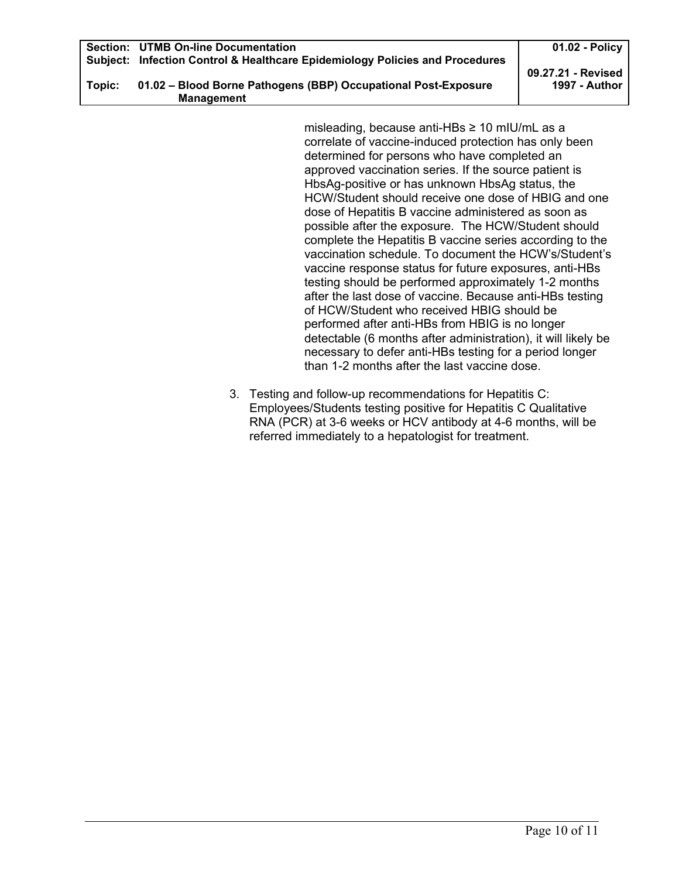|        | <b>Section: UTMB On-line Documentation</b>                                   | 01.02 - Policy     |
|--------|------------------------------------------------------------------------------|--------------------|
|        | Subject: Infection Control & Healthcare Epidemiology Policies and Procedures |                    |
|        |                                                                              | 09.27.21 - Revised |
| Topic: | 01.02 - Blood Borne Pathogens (BBP) Occupational Post-Exposure               | 1997 - Author      |
|        | <b>Management</b>                                                            |                    |

misleading, because anti-HBs ≥ 10 mIU/mL as a correlate of vaccine-induced protection has only been determined for persons who have completed an approved vaccination series. If the source patient is HbsAg-positive or has unknown HbsAg status, the HCW/Student should receive one dose of HBIG and one dose of Hepatitis B vaccine administered as soon as possible after the exposure. The HCW/Student should complete the Hepatitis B vaccine series according to the vaccination schedule. To document the HCW's/Student's vaccine response status for future exposures, anti-HBs testing should be performed approximately 1-2 months after the last dose of vaccine. Because anti-HBs testing of HCW/Student who received HBIG should be performed after anti-HBs from HBIG is no longer detectable (6 months after administration), it will likely be necessary to defer anti-HBs testing for a period longer than 1-2 months after the last vaccine dose.

3. Testing and follow-up recommendations for Hepatitis C: Employees/Students testing positive for Hepatitis C Qualitative RNA (PCR) at 3-6 weeks or HCV antibody at 4-6 months, will be referred immediately to a hepatologist for treatment.